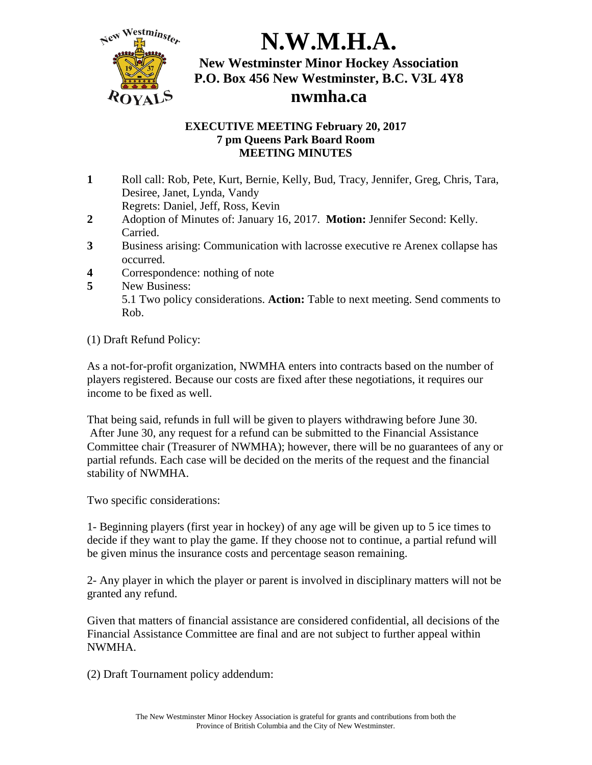

### **EXECUTIVE MEETING February 20, 2017 7 pm Queens Park Board Room MEETING MINUTES**

**1** Roll call: Rob, Pete, Kurt, Bernie, Kelly, Bud, Tracy, Jennifer, Greg, Chris, Tara, Desiree, Janet, Lynda, Vandy

Regrets: Daniel, Jeff, Ross, Kevin

- **2** Adoption of Minutes of: January 16, 2017. **Motion:** Jennifer Second: Kelly. Carried.
- **3** Business arising: Communication with lacrosse executive re Arenex collapse has occurred.
- **4** Correspondence: nothing of note
- **5** New Business: 5.1 Two policy considerations. **Action:** Table to next meeting. Send comments to Rob.

(1) Draft Refund Policy:

As a not-for-profit organization, NWMHA enters into contracts based on the number of players registered. Because our costs are fixed after these negotiations, it requires our income to be fixed as well.

That being said, refunds in full will be given to players withdrawing before June 30. After June 30, any request for a refund can be submitted to the Financial Assistance Committee chair (Treasurer of NWMHA); however, there will be no guarantees of any or partial refunds. Each case will be decided on the merits of the request and the financial stability of NWMHA.

Two specific considerations:

1- Beginning players (first year in hockey) of any age will be given up to 5 ice times to decide if they want to play the game. If they choose not to continue, a partial refund will be given minus the insurance costs and percentage season remaining.

2- Any player in which the player or parent is involved in disciplinary matters will not be granted any refund.

Given that matters of financial assistance are considered confidential, all decisions of the Financial Assistance Committee are final and are not subject to further appeal within NWMHA.

(2) Draft Tournament policy addendum: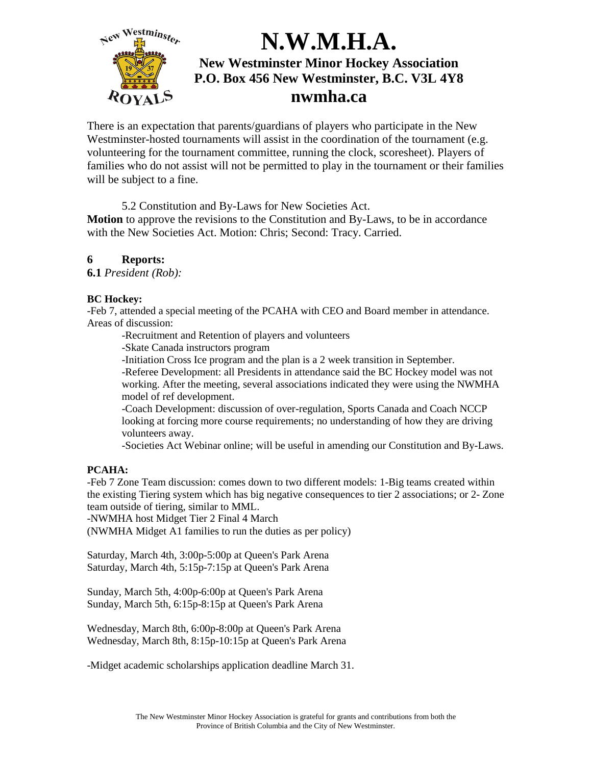

There is an expectation that parents/guardians of players who participate in the New Westminster-hosted tournaments will assist in the coordination of the tournament (e.g. volunteering for the tournament committee, running the clock, scoresheet). Players of families who do not assist will not be permitted to play in the tournament or their families will be subject to a fine.

5.2 Constitution and By-Laws for New Societies Act.

**Motion** to approve the revisions to the Constitution and By-Laws, to be in accordance with the New Societies Act. Motion: Chris; Second: Tracy. Carried.

### **6 Reports:**

**6.1** *President (Rob):*

#### **BC Hockey:**

-Feb 7, attended a special meeting of the PCAHA with CEO and Board member in attendance. Areas of discussion:

-Recruitment and Retention of players and volunteers

-Skate Canada instructors program

-Initiation Cross Ice program and the plan is a 2 week transition in September.

-Referee Development: all Presidents in attendance said the BC Hockey model was not working. After the meeting, several associations indicated they were using the NWMHA model of ref development.

-Coach Development: discussion of over-regulation, Sports Canada and Coach NCCP looking at forcing more course requirements; no understanding of how they are driving volunteers away.

-Societies Act Webinar online; will be useful in amending our Constitution and By-Laws.

### **PCAHA:**

-Feb 7 Zone Team discussion: comes down to two different models: 1-Big teams created within the existing Tiering system which has big negative consequences to tier 2 associations; or 2- Zone team outside of tiering, similar to MML.

-NWMHA host Midget Tier 2 Final 4 March

(NWMHA Midget A1 families to run the duties as per policy)

Saturday, March 4th, 3:00p-5:00p at Queen's Park Arena Saturday, March 4th, 5:15p-7:15p at Queen's Park Arena

Sunday, March 5th, 4:00p-6:00p at Queen's Park Arena Sunday, March 5th, 6:15p-8:15p at Queen's Park Arena

Wednesday, March 8th, 6:00p-8:00p at Queen's Park Arena Wednesday, March 8th, 8:15p-10:15p at Queen's Park Arena

-Midget academic scholarships application deadline March 31.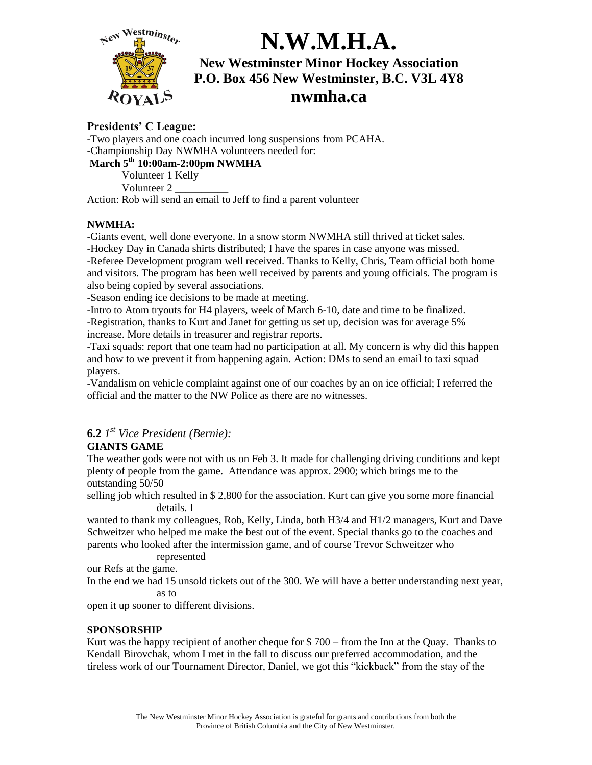

## **nwmha.ca**

### **Presidents' C League:**

-Two players and one coach incurred long suspensions from PCAHA. -Championship Day NWMHA volunteers needed for:

#### **March 5th 10:00am-2:00pm NWMHA**

Volunteer 1 Kelly Volunteer 2 \_\_\_\_\_\_\_\_\_\_

Action: Rob will send an email to Jeff to find a parent volunteer

#### **NWMHA:**

-Giants event, well done everyone. In a snow storm NWMHA still thrived at ticket sales. -Hockey Day in Canada shirts distributed; I have the spares in case anyone was missed. -Referee Development program well received. Thanks to Kelly, Chris, Team official both home and visitors. The program has been well received by parents and young officials. The program is also being copied by several associations.

-Season ending ice decisions to be made at meeting.

-Intro to Atom tryouts for H4 players, week of March 6-10, date and time to be finalized. -Registration, thanks to Kurt and Janet for getting us set up, decision was for average 5% increase. More details in treasurer and registrar reports.

-Taxi squads: report that one team had no participation at all. My concern is why did this happen and how to we prevent it from happening again. Action: DMs to send an email to taxi squad players.

-Vandalism on vehicle complaint against one of our coaches by an on ice official; I referred the official and the matter to the NW Police as there are no witnesses.

## **6.2** *1 st Vice President (Bernie):*

### **GIANTS GAME**

The weather gods were not with us on Feb 3. It made for challenging driving conditions and kept plenty of people from the game. Attendance was approx. 2900; which brings me to the outstanding 50/50

selling job which resulted in \$ 2,800 for the association. Kurt can give you some more financial details. I

wanted to thank my colleagues, Rob, Kelly, Linda, both H3/4 and H1/2 managers, Kurt and Dave Schweitzer who helped me make the best out of the event. Special thanks go to the coaches and parents who looked after the intermission game, and of course Trevor Schweitzer who

represented

our Refs at the game.

In the end we had 15 unsold tickets out of the 300. We will have a better understanding next year, as to

open it up sooner to different divisions.

#### **SPONSORSHIP**

Kurt was the happy recipient of another cheque for \$ 700 – from the Inn at the Quay. Thanks to Kendall Birovchak, whom I met in the fall to discuss our preferred accommodation, and the tireless work of our Tournament Director, Daniel, we got this "kickback" from the stay of the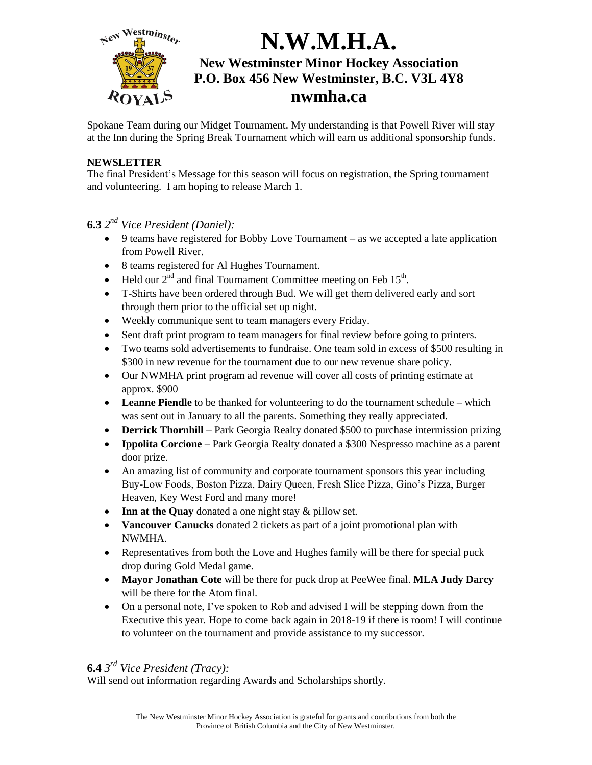

Spokane Team during our Midget Tournament. My understanding is that Powell River will stay at the Inn during the Spring Break Tournament which will earn us additional sponsorship funds.

#### **NEWSLETTER**

The final President's Message for this season will focus on registration, the Spring tournament and volunteering. I am hoping to release March 1.

- **6.3** *2 nd Vice President (Daniel):*
	- 9 teams have registered for Bobby Love Tournament as we accepted a late application from Powell River.
	- 8 teams registered for Al Hughes Tournament.
	- Held our  $2<sup>nd</sup>$  and final Tournament Committee meeting on Feb 15<sup>th</sup>.
	- T-Shirts have been ordered through Bud. We will get them delivered early and sort through them prior to the official set up night.
	- Weekly communique sent to team managers every Friday.
	- Sent draft print program to team managers for final review before going to printers.
	- Two teams sold advertisements to fundraise. One team sold in excess of \$500 resulting in \$300 in new revenue for the tournament due to our new revenue share policy.
	- Our NWMHA print program ad revenue will cover all costs of printing estimate at approx. \$900
	- **Leanne Piendle** to be thanked for volunteering to do the tournament schedule which was sent out in January to all the parents. Something they really appreciated.
	- **Derrick Thornhill** Park Georgia Realty donated \$500 to purchase intermission prizing
	- **Ippolita Corcione** Park Georgia Realty donated a \$300 Nespresso machine as a parent door prize.
	- An amazing list of community and corporate tournament sponsors this year including Buy-Low Foods, Boston Pizza, Dairy Queen, Fresh Slice Pizza, Gino's Pizza, Burger Heaven, Key West Ford and many more!
	- Inn at the Quay donated a one night stay & pillow set.
	- **Vancouver Canucks** donated 2 tickets as part of a joint promotional plan with NWMHA.
	- Representatives from both the Love and Hughes family will be there for special puck drop during Gold Medal game.
	- **Mayor Jonathan Cote** will be there for puck drop at PeeWee final. **MLA Judy Darcy** will be there for the Atom final.
	- On a personal note, I've spoken to Rob and advised I will be stepping down from the Executive this year. Hope to come back again in 2018-19 if there is room! I will continue to volunteer on the tournament and provide assistance to my successor.

### **6.4** *3 rd Vice President (Tracy):*

Will send out information regarding Awards and Scholarships shortly.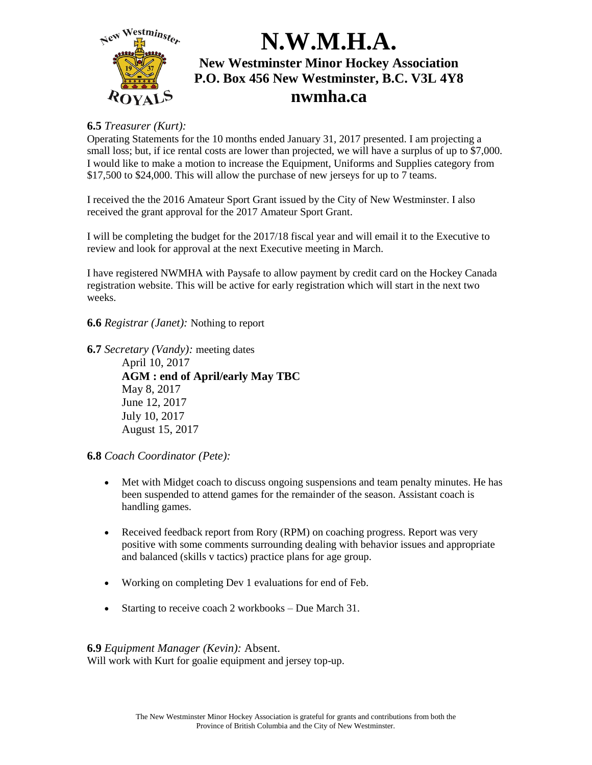

### **6.5** *Treasurer (Kurt):*

Operating Statements for the 10 months ended January 31, 2017 presented. I am projecting a small loss; but, if ice rental costs are lower than projected, we will have a surplus of up to \$7,000. I would like to make a motion to increase the Equipment, Uniforms and Supplies category from \$17,500 to \$24,000. This will allow the purchase of new jerseys for up to 7 teams.

I received the the 2016 Amateur Sport Grant issued by the City of New Westminster. I also received the grant approval for the 2017 Amateur Sport Grant.

I will be completing the budget for the 2017/18 fiscal year and will email it to the Executive to review and look for approval at the next Executive meeting in March.

I have registered NWMHA with Paysafe to allow payment by credit card on the Hockey Canada registration website. This will be active for early registration which will start in the next two weeks.

**6.6** *Registrar (Janet):* Nothing to report

**6.7** *Secretary (Vandy):* meeting dates April 10, 2017 **AGM : end of April/early May TBC** May 8, 2017 June 12, 2017 July 10, 2017 August 15, 2017

**6.8** *Coach Coordinator (Pete):*

- Met with Midget coach to discuss ongoing suspensions and team penalty minutes. He has been suspended to attend games for the remainder of the season. Assistant coach is handling games.
- Received feedback report from Rory (RPM) on coaching progress. Report was very positive with some comments surrounding dealing with behavior issues and appropriate and balanced (skills v tactics) practice plans for age group.
- Working on completing Dev 1 evaluations for end of Feb.
- Starting to receive coach 2 workbooks Due March 31.

**6.9** *Equipment Manager (Kevin):* Absent.

Will work with Kurt for goalie equipment and jersey top-up.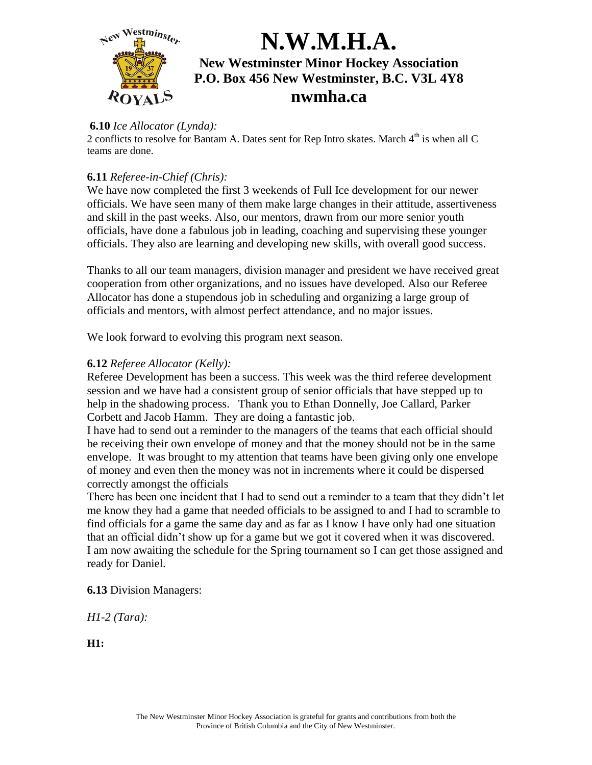

### **6.10** *Ice Allocator (Lynda):*

2 conflicts to resolve for Bantam A. Dates sent for Rep Intro skates. March  $4<sup>th</sup>$  is when all C teams are done.

### **6.11** *Referee-in-Chief (Chris):*

We have now completed the first 3 weekends of Full Ice development for our newer officials. We have seen many of them make large changes in their attitude, assertiveness and skill in the past weeks. Also, our mentors, drawn from our more senior youth officials, have done a fabulous job in leading, coaching and supervising these younger officials. They also are learning and developing new skills, with overall good success.

Thanks to all our team managers, division manager and president we have received great cooperation from other organizations, and no issues have developed. Also our Referee Allocator has done a stupendous job in scheduling and organizing a large group of officials and mentors, with almost perfect attendance, and no major issues.

We look forward to evolving this program next season.

### **6.12** *Referee Allocator (Kelly):*

Referee Development has been a success. This week was the third referee development session and we have had a consistent group of senior officials that have stepped up to help in the shadowing process. Thank you to Ethan Donnelly, Joe Callard, Parker Corbett and Jacob Hamm. They are doing a fantastic job.

I have had to send out a reminder to the managers of the teams that each official should be receiving their own envelope of money and that the money should not be in the same envelope. It was brought to my attention that teams have been giving only one envelope of money and even then the money was not in increments where it could be dispersed correctly amongst the officials

There has been one incident that I had to send out a reminder to a team that they didn't let me know they had a game that needed officials to be assigned to and I had to scramble to find officials for a game the same day and as far as I know I have only had one situation that an official didn't show up for a game but we got it covered when it was discovered. I am now awaiting the schedule for the Spring tournament so I can get those assigned and ready for Daniel.

**6.13** Division Managers:

*H1-2 (Tara):*

**H1:**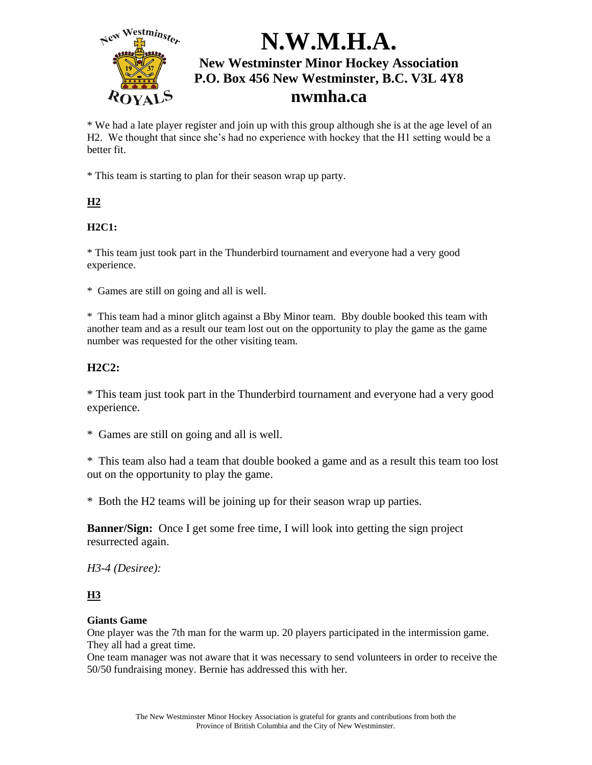

\* We had a late player register and join up with this group although she is at the age level of an H2. We thought that since she's had no experience with hockey that the H1 setting would be a better fit.

\* This team is starting to plan for their season wrap up party.

## **H2**

### **H2C1:**

\* This team just took part in the Thunderbird tournament and everyone had a very good experience.

\* Games are still on going and all is well.

\* This team had a minor glitch against a Bby Minor team. Bby double booked this team with another team and as a result our team lost out on the opportunity to play the game as the game number was requested for the other visiting team.

### **H2C2:**

\* This team just took part in the Thunderbird tournament and everyone had a very good experience.

\* Games are still on going and all is well.

\* This team also had a team that double booked a game and as a result this team too lost out on the opportunity to play the game.

\* Both the H2 teams will be joining up for their season wrap up parties.

**Banner/Sign:** Once I get some free time, I will look into getting the sign project resurrected again.

### *H3-4 (Desiree):*

### **H3**

#### **Giants Game**

One player was the 7th man for the warm up. 20 players participated in the intermission game. They all had a great time.

One team manager was not aware that it was necessary to send volunteers in order to receive the 50/50 fundraising money. Bernie has addressed this with her.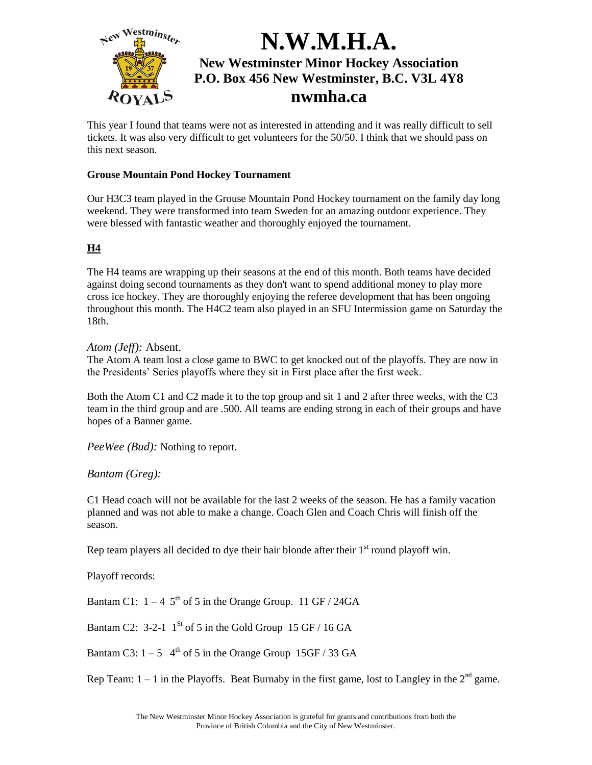

This year I found that teams were not as interested in attending and it was really difficult to sell tickets. It was also very difficult to get volunteers for the 50/50. I think that we should pass on this next season.

#### **Grouse Mountain Pond Hockey Tournament**

Our H3C3 team played in the Grouse Mountain Pond Hockey tournament on the family day long weekend. They were transformed into team Sweden for an amazing outdoor experience. They were blessed with fantastic weather and thoroughly enjoyed the tournament.

#### **H4**

The H4 teams are wrapping up their seasons at the end of this month. Both teams have decided against doing second tournaments as they don't want to spend additional money to play more cross ice hockey. They are thoroughly enjoying the referee development that has been ongoing throughout this month. The H4C2 team also played in an SFU Intermission game on Saturday the 18th.

#### *Atom (Jeff):* Absent.

The Atom A team lost a close game to BWC to get knocked out of the playoffs. They are now in the Presidents' Series playoffs where they sit in First place after the first week.

Both the Atom C1 and C2 made it to the top group and sit 1 and 2 after three weeks, with the C3 team in the third group and are .500. All teams are ending strong in each of their groups and have hopes of a Banner game.

*PeeWee (Bud):* Nothing to report.

*Bantam (Greg):*

C1 Head coach will not be available for the last 2 weeks of the season. He has a family vacation planned and was not able to make a change. Coach Glen and Coach Chris will finish off the season.

Rep team players all decided to dye their hair blonde after their  $1<sup>st</sup>$  round playoff win.

Playoff records:

Bantam C1:  $1 - 4$  5<sup>th</sup> of 5 in the Orange Group. 11 GF / 24GA

Bantam C2: 3-2-1  $1^{St}$  of 5 in the Gold Group 15 GF / 16 GA

Bantam C3:  $1-5$  4<sup>th</sup> of 5 in the Orange Group 15GF / 33 GA

Rep Team:  $1 - 1$  in the Playoffs. Beat Burnaby in the first game, lost to Langley in the  $2<sup>nd</sup>$  game.